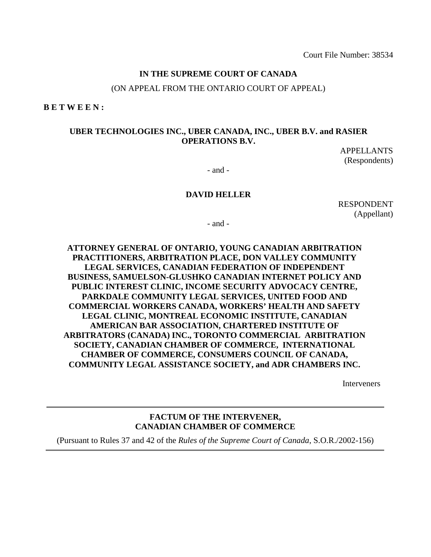#### **IN THE SUPREME COURT OF CANADA**

(ON APPEAL FROM THE ONTARIO COURT OF APPEAL)

**B E T W E E N :** 

#### **UBER TECHNOLOGIES INC., UBER CANADA, INC., UBER B.V. and RASIER OPERATIONS B.V.**

APPELLANTS (Respondents)

- and -

#### **DAVID HELLER**

RESPONDENT (Appellant)

- and -

## **ATTORNEY GENERAL OF ONTARIO, YOUNG CANADIAN ARBITRATION PRACTITIONERS, ARBITRATION PLACE, DON VALLEY COMMUNITY LEGAL SERVICES, CANADIAN FEDERATION OF INDEPENDENT BUSINESS, SAMUELSON-GLUSHKO CANADIAN INTERNET POLICY AND PUBLIC INTEREST CLINIC, INCOME SECURITY ADVOCACY CENTRE, PARKDALE COMMUNITY LEGAL SERVICES, UNITED FOOD AND COMMERCIAL WORKERS CANADA, WORKERS' HEALTH AND SAFETY LEGAL CLINIC, MONTREAL ECONOMIC INSTITUTE, CANADIAN AMERICAN BAR ASSOCIATION, CHARTERED INSTITUTE OF ARBITRATORS (CANADA) INC., TORONTO COMMERCIAL ARBITRATION SOCIETY, CANADIAN CHAMBER OF COMMERCE, INTERNATIONAL CHAMBER OF COMMERCE, CONSUMERS COUNCIL OF CANADA, COMMUNITY LEGAL ASSISTANCE SOCIETY, and ADR CHAMBERS INC.**

Interveners

#### **FACTUM OF THE INTERVENER, CANADIAN CHAMBER OF COMMERCE**

(Pursuant to Rules 37 and 42 of the *Rules of the Supreme Court of Canada*, S.O.R./2002-156)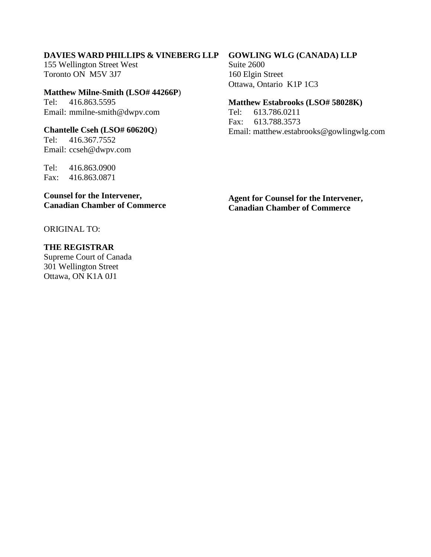## **DAVIES WARD PHILLIPS & VINEBERG LLP**

155 Wellington Street West Toronto ON M5V 3J7

**Matthew Milne-Smith (LSO# 44266P**) Tel: 416.863.5595 Email: mmilne-smith@dwpv.com

**Chantelle Cseh (LSO# 60620Q**) Tel: 416.367.7552 Email: ccseh@dwpv.com

Tel: 416.863.0900 Fax: 416.863.0871

**Counsel for the Intervener, Canadian Chamber of Commerce** 

**Agent for Counsel for the Intervener, Canadian Chamber of Commerce** 

ORIGINAL TO:

**THE REGISTRAR** 

Supreme Court of Canada 301 Wellington Street Ottawa, ON K1A 0J1

**GOWLING WLG (CANADA) LLP**

Suite 2600 160 Elgin Street Ottawa, Ontario K1P 1C3

#### **Matthew Estabrooks (LSO# 58028K)**

Tel: 613.786.0211 Fax: 613.788.3573 Email: matthew.estabrooks@gowlingwlg.com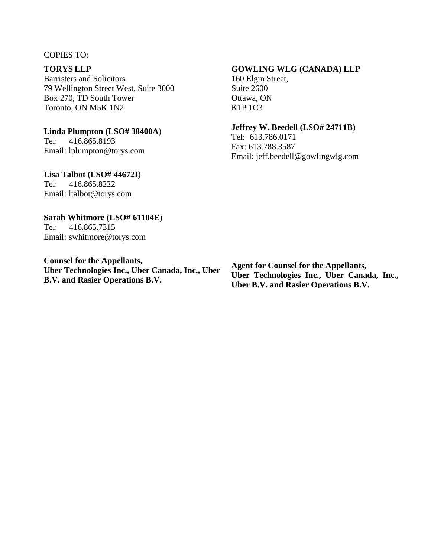#### COPIES TO:

## **TORYS LLP**

Barristers and Solicitors 79 Wellington Street West, Suite 3000 Box 270, TD South Tower Toronto, ON M5K 1N2

#### **Linda Plumpton (LSO# 38400A**)

Tel: 416.865.8193 Email: lplumpton@torys.com

#### **Lisa Talbot (LSO# 44672I**)

Tel: 416.865.8222 Email: ltalbot@torys.com

#### **Sarah Whitmore (LSO# 61104E**)

Tel: 416.865.7315 Email: swhitmore@torys.com

**Counsel for the Appellants, Uber Technologies Inc., Uber Canada, Inc., Uber B.V. and Rasier Operations B.V.**

#### **GOWLING WLG (CANADA) LLP**

160 Elgin Street, Suite 2600 Ottawa, ON K1P 1C3

#### **Jeffrey W. Beedell (LSO# 24711B)**

Tel: 613.786.0171 Fax: 613.788.3587 Email: jeff.beedell@gowlingwlg.com

**Agent for Counsel for the Appellants, Uber Technologies Inc., Uber Canada, Inc., Uber B.V. and Rasier Operations B.V.**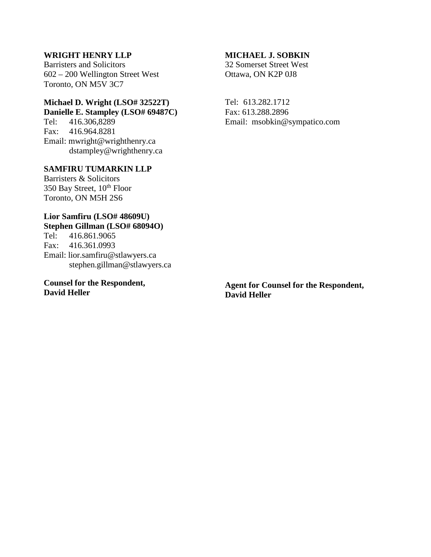## **WRIGHT HENRY LLP**

Barristers and Solicitors 602 – 200 Wellington Street West Toronto, ON M5V 3C7

## **Michael D. Wright (LSO# 32522T)**

**Danielle E. Stampley (LSO# 69487C)**  Tel: 416.306,8289 Fax: 416.964.8281 Email: mwright@wrighthenry.ca dstampley@wrighthenry.ca

#### **SAMFIRU TUMARKIN LLP**

Barristers & Solicitors 350 Bay Street, 10<sup>th</sup> Floor Toronto, ON M5H 2S6

# **Lior Samfiru (LSO# 48609U)**

**Stephen Gillman (LSO# 68094O)**<br>Tel: 416.861.9065 Tel: 416.861.9065 Fax: 416.361.0993 Email: lior.samfiru@stlawyers.ca stephen.gillman@stlawyers.ca

#### **Counsel for the Respondent, David Heller**

#### **MICHAEL J. SOBKIN**

32 Somerset Street West Ottawa, ON K2P 0J8

Tel: 613.282.1712 Fax: 613.288.2896 Email: msobkin@sympatico.com

**Agent for Counsel for the Respondent, David Heller**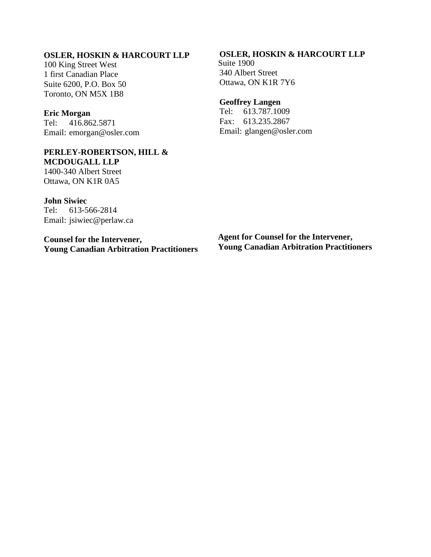## **OSLER, HOSKIN & HARCOURT LLP**

100 King Street West 1 first Canadian Place Suite 6200, P.O. Box 50 Toronto, ON M5X 1B8

#### **Eric Morgan**

Tel: 416.862.5871 Email: emorgan@osler.com

## **PERLEY-ROBERTSON, HILL & MCDOUGALL LLP**

1400-340 Albert Street Ottawa, ON K1R 0A5

**John Siwiec**  Tel: 613-566-2814 Email: jsiwiec@perlaw.ca

**Counsel for the Intervener, Young Canadian Arbitration Practitioners** 

## **OSLER, HOSKIN & HARCOURT LLP**

Suite 1900 340 Albert Street Ottawa, ON K1R 7Y6

#### **Geoffrey Langen**

Tel: 613.787.1009 Fax: 613.235.2867 Email: [glangen@osler.com](mailto:glangen@osler.com) 

**Agent for Counsel for the Intervener, Young Canadian Arbitration Practitioners**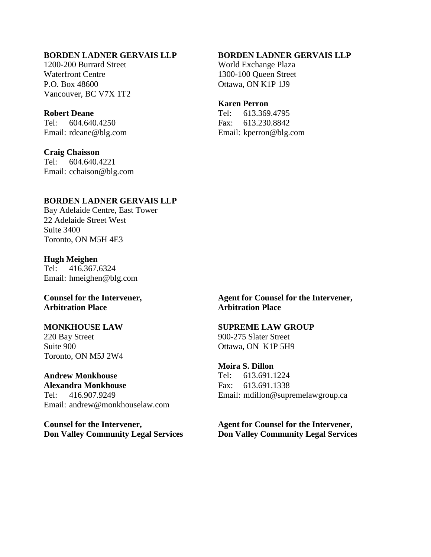## **BORDEN LADNER GERVAIS LLP**

1200-200 Burrard Street Waterfront Centre P.O. Box 48600 Vancouver, BC V7X 1T2

#### **Robert Deane**

Tel: 604.640.4250 Email: rdeane@blg.com

#### **Craig Chaisson**

Tel: 604.640.4221 Email: cchaison@blg.com

#### **BORDEN LADNER GERVAIS LLP**

World Exchange Plaza 1300-100 Queen Street Ottawa, ON K1P 1J9

#### **Karen Perron**

Tel: 613.369.4795 Fax: 613.230.8842 Email: kperron@blg.com

## **BORDEN LADNER GERVAIS LLP**

Bay Adelaide Centre, East Tower 22 Adelaide Street West Suite 3400 Toronto, ON M5H 4E3

#### **Hugh Meighen**  Tel: 416.367.6324 Email: hmeighen@blg.com

#### **Counsel for the Intervener, Arbitration Place**

## **MONKHOUSE LAW**

220 Bay Street Suite 900 Toronto, ON M5J 2W4

**Andrew Monkhouse Alexandra Monkhouse** Tel: 416.907.9249 Email: andrew@monkhouselaw.com

**Counsel for the Intervener, Don Valley Community Legal Services**  **Agent for Counsel for the Intervener, Arbitration Place** 

## **SUPREME LAW GROUP**

900-275 Slater Street Ottawa, ON K1P 5H9

#### **Moira S. Dillon**

Tel: 613.691.1224 Fax: 613.691.1338 Email: mdillon@supremelawgroup.ca

**Agent for Counsel for the Intervener, Don Valley Community Legal Services**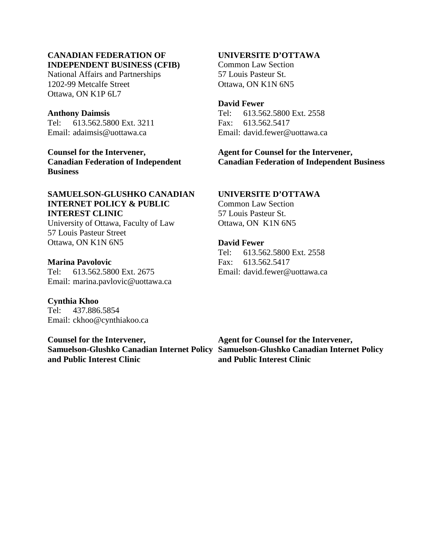#### **CANADIAN FEDERATION OF INDEPENDENT BUSINESS (CFIB)**

National Affairs and Partnerships 1202-99 Metcalfe Street Ottawa, ON K1P 6L7

#### **Anthony Daimsis**

Tel: 613.562.5800 Ext. 3211 Email: adaimsis@uottawa.ca

**Counsel for the Intervener, Canadian Federation of Independent Business** 

## **SAMUELSON-GLUSHKO CANADIAN INTERNET POLICY & PUBLIC INTEREST CLINIC**

University of Ottawa, Faculty of Law 57 Louis Pasteur Street Ottawa, ON K1N 6N5

#### **Marina Pavolovic**

Tel: 613.562.5800 Ext. 2675 Email: marina.pavlovic@uottawa.ca

**Cynthia Khoo**  Tel: 437.886.5854 Email: ckhoo@cynthiakoo.ca

## **Counsel for the Intervener, and Public Interest Clinic**

## **UNIVERSITE D'OTTAWA**

Common Law Section 57 Louis Pasteur St. Ottawa, ON K1N 6N5

#### **David Fewer**

Tel: 613.562.5800 Ext. 2558 Fax: 613.562.5417 Email: david.fewer@uottawa.ca

## **Agent for Counsel for the Intervener, Canadian Federation of Independent Business**

## **UNIVERSITE D'OTTAWA**

Common Law Section 57 Louis Pasteur St. Ottawa, ON K1N 6N5

#### **David Fewer**

Tel: 613.562.5800 Ext. 2558 Fax: 613.562.5417 Email: david.fewer@uottawa.ca

**Samuelson-Glushko Canadian Internet Policy Samuelson-Glushko Canadian Internet Policy Agent for Counsel for the Intervener, and Public Interest Clinic**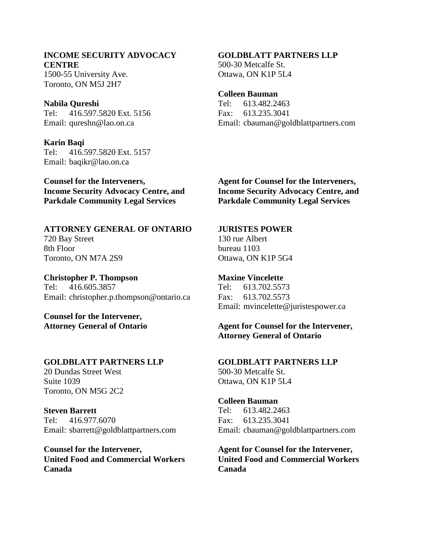## **INCOME SECURITY ADVOCACY CENTRE**

1500-55 University Ave. Toronto, ON M5J 2H7

#### **Nabila Qureshi**

Tel: 416.597.5820 Ext. 5156 Email: qureshn@lao.on.ca

**Karin Baqi** 

Tel: 416.597.5820 Ext. 5157 Email: baqikr@lao.on.ca

**Counsel for the Interveners, Income Security Advocacy Centre, and Parkdale Community Legal Services** 

**ATTORNEY GENERAL OF ONTARIO**  720 Bay Street 8th Floor Toronto, ON M7A 2S9

**Christopher P. Thompson**  Tel: 416.605.3857 Email: christopher.p.thompson@ontario.ca

**Counsel for the Intervener, Attorney General of Ontario** 

#### **GOLDBLATT PARTNERS LLP**

20 Dundas Street West Suite 1039 Toronto, ON M5G 2C2

**Steven Barrett**  Tel: 416.977.6070 Email: sbarrett@goldblattpartners.com

**Counsel for the Intervener, United Food and Commercial Workers Canada** 

## **GOLDBLATT PARTNERS LLP**

500-30 Metcalfe St. Ottawa, ON K1P 5L4

#### **Colleen Bauman**

Tel: 613.482.2463 Fax: 613.235.3041 Email: cbauman@goldblattpartners.com

**Agent for Counsel for the Interveners, Income Security Advocacy Centre, and Parkdale Community Legal Services** 

#### **JURISTES POWER**

130 rue Albert bureau 1103 Ottawa, ON K1P 5G4

**Maxine Vincelette**  Tel: 613.702.5573 Fax: 613.702.5573 Email: mvincelette@juristespower.ca

**Agent for Counsel for the Intervener, Attorney General of Ontario** 

## **GOLDBLATT PARTNERS LLP**  500-30 Metcalfe St.

Ottawa, ON K1P 5L4

## **Colleen Bauman**

Tel: 613.482.2463 Fax: 613.235.3041 Email: cbauman@goldblattpartners.com

**Agent for Counsel for the Intervener, United Food and Commercial Workers Canada**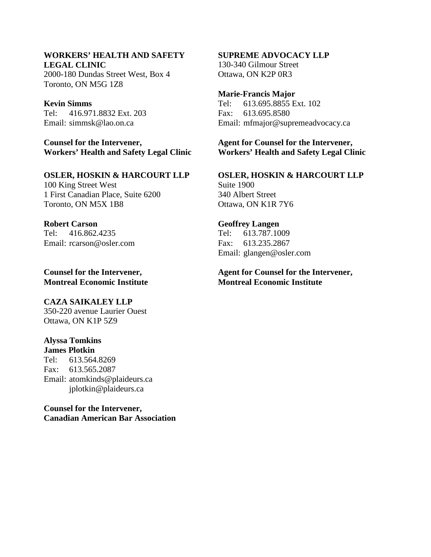## **WORKERS' HEALTH AND SAFETY LEGAL CLINIC**

2000-180 Dundas Street West, Box 4 Toronto, ON M5G 1Z8

#### **Kevin Simms**

Tel: 416.971.8832 Ext. 203 Email: simmsk@lao.on.ca

**Counsel for the Intervener, Workers' Health and Safety Legal Clinic** 

## **OSLER, HOSKIN & HARCOURT LLP**

100 King Street West 1 First Canadian Place, Suite 6200 Toronto, ON M5X 1B8

#### **Robert Carson**

Tel: 416.862.4235 Email: rcarson@osler.com

**Counsel for the Intervener, Montreal Economic Institute** 

## **CAZA SAIKALEY LLP**

350-220 avenue Laurier Ouest Ottawa, ON K1P 5Z9

## **Alyssa Tomkins**

**James Plotkin**  Tel: 613.564.8269 Fax: 613.565.2087 Email: atomkinds@plaideurs.ca jplotkin@plaideurs.ca

**Counsel for the Intervener, Canadian American Bar Association** 

#### **SUPREME ADVOCACY LLP**

130-340 Gilmour Street Ottawa, ON K2P 0R3

#### **Marie-Francis Major**

Tel: 613.695.8855 Ext. 102 Fax: 613.695.8580 Email: mfmajor@supremeadvocacy.ca

**Agent for Counsel for the Intervener, Workers' Health and Safety Legal Clinic** 

**OSLER, HOSKIN & HARCOURT LLP**  Suite 1900 340 Albert Street Ottawa, ON K1R 7Y6

## **Geoffrey Langen**  Tel: 613.787.1009 Fax: 613.235.2867 Email: glangen@osler.com

**Agent for Counsel for the Intervener, Montreal Economic Institute**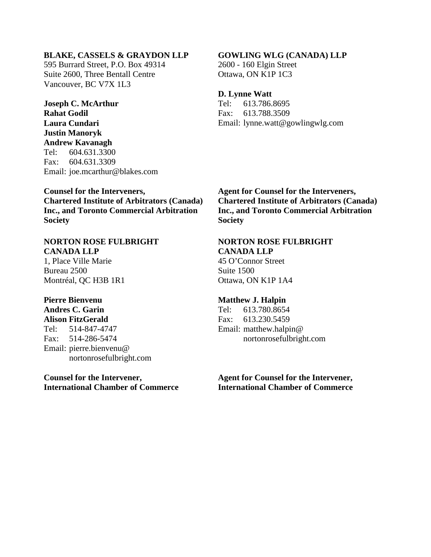#### **BLAKE, CASSELS & GRAYDON LLP**

595 Burrard Street, P.O. Box 49314 Suite 2600, Three Bentall Centre Vancouver, BC V7X 1L3

**Joseph C. McArthur Rahat Godil Laura Cundari Justin Manoryk Andrew Kavanagh**  Tel: 604.631.3300 Fax: 604.631.3309 Email: joe.mcarthur@blakes.com

## **Counsel for the Interveners, Chartered Institute of Arbitrators (Canada) Inc., and Toronto Commercial Arbitration Society**

#### **NORTON ROSE FULBRIGHT CANADA LLP**

1, Place Ville Marie Bureau 2500 Montréal, QC H3B 1R1

## **Pierre Bienvenu Andres C. Garin**

**Alison FitzGerald**  Tel: 514-847-4747 Fax: 514-286-5474 Email: pierre.bienvenu@ nortonrosefulbright.com

## **Counsel for the Intervener, International Chamber of Commerce**

#### **GOWLING WLG (CANADA) LLP**

2600 - 160 Elgin Street Ottawa, ON K1P 1C3

#### **D. Lynne Watt**

Tel: 613.786.8695 Fax: 613.788.3509 Email: lynne.watt@gowlingwlg.com

**Agent for Counsel for the Interveners, Chartered Institute of Arbitrators (Canada) Inc., and Toronto Commercial Arbitration Society** 

## **NORTON ROSE FULBRIGHT**

**CANADA LLP**  45 O'Connor Street Suite 1500 Ottawa, ON K1P 1A4

#### **Matthew J. Halpin**

Tel: 613.780.8654 Fax: 613.230.5459 Email: matthew.halpin@ nortonrosefulbright.com

**Agent for Counsel for the Intervener, International Chamber of Commerce**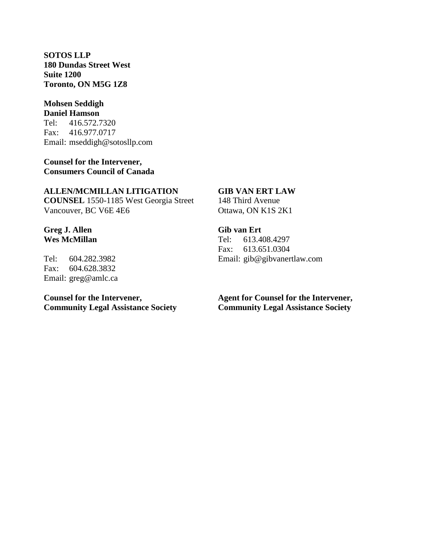**SOTOS LLP 180 Dundas Street West Suite 1200 Toronto, ON M5G 1Z8** 

#### **Mohsen Seddigh Daniel Hamson**

Tel: 416.572.7320 Fax: 416.977.0717 Email: mseddigh@sotosllp.com

**Counsel for the Intervener, Consumers Council of Canada** 

#### **ALLEN/MCMILLAN LITIGATION**

**COUNSEL** 1550-1185 West Georgia Street Vancouver, BC V6E 4E6

## **Greg J. Allen Wes McMillan**

Tel: 604.282.3982 Fax: 604.628.3832 Email: greg@amlc.ca

## **Counsel for the Intervener, Community Legal Assistance Society**

## **GIB VAN ERT LAW**

148 Third Avenue Ottawa, ON K1S 2K1

## **Gib van Ert**

Tel: 613.408.4297 Fax: 613.651.0304 Email: gib@gibvanertlaw.com

## **Agent for Counsel for the Intervener, Community Legal Assistance Society**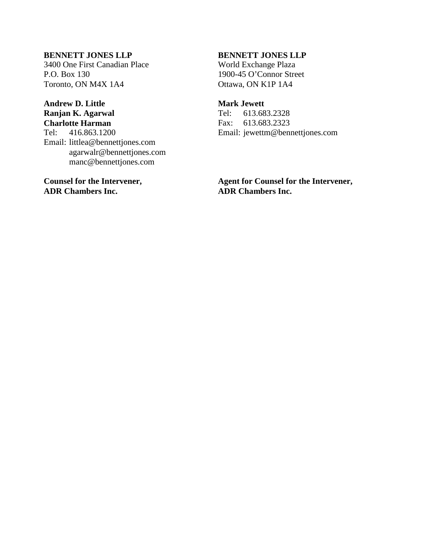## **BENNETT JONES LLP**

3400 One First Canadian Place P.O. Box 130 Toronto, ON M4X 1A4

#### **Andrew D. Little Ranjan K. Agarwal Charlotte Harman**

Tel: 416.863.1200 Email: littlea@bennettjones.com agarwalr@bennettjones.com manc@bennettjones.com

**Counsel for the Intervener, ADR Chambers Inc.** 

## **BENNETT JONES LLP**

World Exchange Plaza 1900-45 O'Connor Street Ottawa, ON K1P 1A4

#### **Mark Jewett**

Tel: 613.683.2328 Fax: 613.683.2323 Email: jewettm@bennettjones.com

**Agent for Counsel for the Intervener, ADR Chambers Inc.**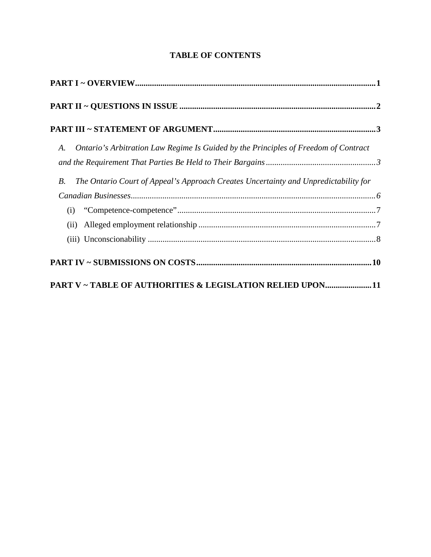| Ontario's Arbitration Law Regime Is Guided by the Principles of Freedom of Contract<br>A.<br>The Ontario Court of Appeal's Approach Creates Uncertainty and Unpredictability for<br><i>B</i> .                                                                                                                                                                                                                          |  |
|-------------------------------------------------------------------------------------------------------------------------------------------------------------------------------------------------------------------------------------------------------------------------------------------------------------------------------------------------------------------------------------------------------------------------|--|
| $\emph{Canadian Business} \label{ex:1} \emph{Canadian Business} \\ \emph{5} \\ \emph{6} \\ \emph{7} \\ \emph{7} \\ \emph{7} \\ \emph{8} \\ \emph{8} \\ \emph{9} \\ \emph{1} \\ \emph{1} \\ \emph{1} \\ \emph{1} \\ \emph{1} \\ \emph{1} \\ \emph{1} \\ \emph{1} \\ \emph{1} \\ \emph{1} \\ \emph{1} \\ \emph{1} \\ \emph{1} \\ \emph{1} \\ \emph{1} \\ \emph{1} \\ \emph{1} \\ \emph{1} \\ \emph{1} \\ \emph{1} \\ \em$ |  |
| (i)                                                                                                                                                                                                                                                                                                                                                                                                                     |  |
|                                                                                                                                                                                                                                                                                                                                                                                                                         |  |
|                                                                                                                                                                                                                                                                                                                                                                                                                         |  |
|                                                                                                                                                                                                                                                                                                                                                                                                                         |  |
| PART V ~ TABLE OF AUTHORITIES & LEGISLATION RELIED UPON11                                                                                                                                                                                                                                                                                                                                                               |  |

## **TABLE OF CONTENTS**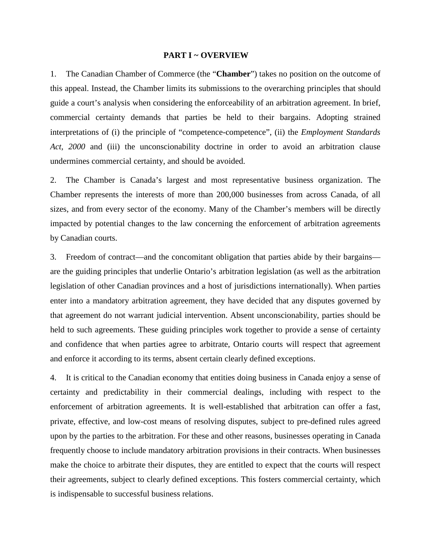#### <span id="page-13-1"></span>**PART I ~ OVERVIEW**

<span id="page-13-0"></span>1. The Canadian Chamber of Commerce (the "**Chamber**") takes no position on the outcome of this appeal. Instead, the Chamber limits its submissions to the overarching principles that should guide a court's analysis when considering the enforceability of an arbitration agreement. In brief, commercial certainty demands that parties be held to their bargains. Adopting strained interpretations of (i) the principle of "competence-competence", (ii) the *Employment Standards Act, 2000* and (iii) the unconscionability doctrine in order to avoid an arbitration clause undermines commercial certainty, and should be avoided.

2. The Chamber is Canada's largest and most representative business organization. The Chamber represents the interests of more than 200,000 businesses from across Canada, of all sizes, and from every sector of the economy. Many of the Chamber's members will be directly impacted by potential changes to the law concerning the enforcement of arbitration agreements by Canadian courts.

3. Freedom of contract—and the concomitant obligation that parties abide by their bargains are the guiding principles that underlie Ontario's arbitration legislation (as well as the arbitration legislation of other Canadian provinces and a host of jurisdictions internationally). When parties enter into a mandatory arbitration agreement, they have decided that any disputes governed by that agreement do not warrant judicial intervention. Absent unconscionability, parties should be held to such agreements. These guiding principles work together to provide a sense of certainty and confidence that when parties agree to arbitrate, Ontario courts will respect that agreement and enforce it according to its terms, absent certain clearly defined exceptions.

4. It is critical to the Canadian economy that entities doing business in Canada enjoy a sense of certainty and predictability in their commercial dealings, including with respect to the enforcement of arbitration agreements. It is well-established that arbitration can offer a fast, private, effective, and low-cost means of resolving disputes, subject to pre-defined rules agreed upon by the parties to the arbitration. For these and other reasons, businesses operating in Canada frequently choose to include mandatory arbitration provisions in their contracts. When businesses make the choice to arbitrate their disputes, they are entitled to expect that the courts will respect their agreements, subject to clearly defined exceptions. This fosters commercial certainty, which is indispensable to successful business relations.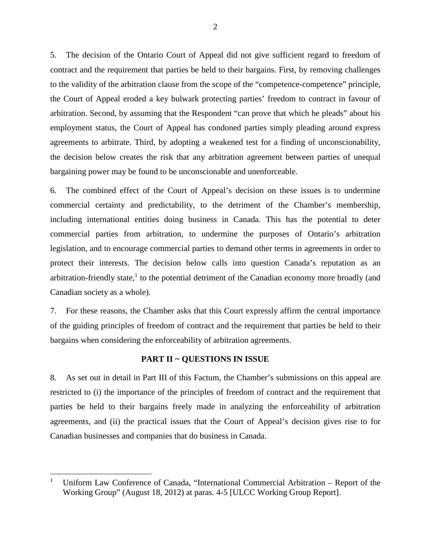5. The decision of the Ontario Court of Appeal did not give sufficient regard to freedom of contract and the requirement that parties be held to their bargains. First, by removing challenges to the validity of the arbitration clause from the scope of the "competence-competence" principle, the Court of Appeal eroded a key bulwark protecting parties' freedom to contract in favour of arbitration. Second, by assuming that the Respondent "can prove that which he pleads" about his employment status, the Court of Appeal has condoned parties simply pleading around express agreements to arbitrate. Third, by adopting a weakened test for a finding of unconscionability, the decision below creates the risk that any arbitration agreement between parties of unequal bargaining power may be found to be unconscionable and unenforceable.

6. The combined effect of the Court of Appeal's decision on these issues is to undermine commercial certainty and predictability, to the detriment of the Chamber's membership, including international entities doing business in Canada. This has the potential to deter commercial parties from arbitration, to undermine the purposes of Ontario's arbitration legislation, and to encourage commercial parties to demand other terms in agreements in order to protect their interests. The decision below calls into question Canada's reputation as an arbitration-friendly state,<sup>[1](#page-14-2)</sup> to the potential detriment of the Canadian economy more broadly (and Canadian society as a whole).

7. For these reasons, the Chamber asks that this Court expressly affirm the central importance of the guiding principles of freedom of contract and the requirement that parties be held to their bargains when considering the enforceability of arbitration agreements.

#### <span id="page-14-1"></span>**PART II ~ QUESTIONS IN ISSUE**

<span id="page-14-0"></span>8. As set out in detail in Part III of this Factum, the Chamber's submissions on this appeal are restricted to (i) the importance of the principles of freedom of contract and the requirement that parties be held to their bargains freely made in analyzing the enforceability of arbitration agreements, and (ii) the practical issues that the Court of Appeal's decision gives rise to for Canadian businesses and companies that do business in Canada.

<span id="page-14-2"></span><sup>1</sup> Uniform Law Conference of Canada, "International Commercial Arbitration – Report of the Working Group" (August 18, 2012) at paras. 4-5 [ULCC Working Group Report].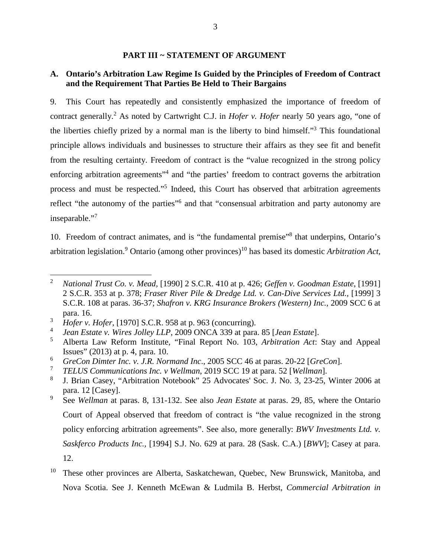#### <span id="page-15-1"></span><span id="page-15-0"></span>**PART III ~ STATEMENT OF ARGUMENT**

#### <span id="page-15-2"></span>**A. Ontario's Arbitration Law Regime Is Guided by the Principles of Freedom of Contract and the Requirement That Parties Be Held to Their Bargains**

9. This Court has repeatedly and consistently emphasized the importance of freedom of contract generally.<sup>[2](#page-15-3)</sup> As noted by Cartwright C.J. in *Hofer v. Hofer* nearly 50 years ago, "one of the liberties chiefly prized by a normal man is the liberty to bind himself."[3](#page-15-4) This foundational principle allows individuals and businesses to structure their affairs as they see fit and benefit from the resulting certainty. Freedom of contract is the "value recognized in the strong policy enforcing arbitration agreements<sup>3[4](#page-15-5)</sup> and "the parties' freedom to contract governs the arbitration process and must be respected."<sup>[5](#page-15-6)</sup> Indeed, this Court has observed that arbitration agreements reflect "the autonomy of the parties"<sup>[6](#page-15-7)</sup> and that "consensual arbitration and party autonomy are inseparable."[7](#page-15-8)

10. Freedom of contract animates, and is "the fundamental premise"[8](#page-15-9) that underpins, Ontario's arbitration legislation.<sup>[9](#page-15-10)</sup> Ontario (among other provinces)<sup>[10](#page-15-11)</sup> has based its domestic *Arbitration Act*,

<span id="page-15-3"></span><sup>2</sup> *National Trust Co. v. Mead,* [1990] 2 S.C.R. 410 at p. 426; *Geffen v. Goodman Estate*, [1991] 2 S.C.R. 353 at p. 378; *Fraser River Pile & Dredge Ltd. v. Can-Dive Services Ltd.,* [1999] 3 S.C.R. 108 at paras. 36-37; *Shafron v. KRG Insurance Brokers (Western) Inc.*, 2009 SCC 6 at para. 16.

<span id="page-15-4"></span><sup>3</sup> *Hofer v. Hofer,* [1970] S.C.R. 958 at p. 963 (concurring).

<span id="page-15-6"></span><span id="page-15-5"></span><sup>4</sup> *Jean Estate v. Wires Jolley LLP*, 2009 ONCA 339 at para. 85 [*Jean Estate*].

<sup>5</sup> Alberta Law Reform Institute, "Final Report No. 103, *Arbitration Act*: Stay and Appeal Issues" (2013) at p. 4, para. 10.

<span id="page-15-7"></span><sup>6</sup> *GreCon Dimter Inc. v. J.R. Normand Inc*., 2005 SCC 46 at paras. 20-22 [*GreCon*].

<span id="page-15-8"></span><sup>7</sup> *TELUS Communications Inc. v Wellman*, 2019 SCC 19 at para. 52 [*Wellman*].

<span id="page-15-9"></span><sup>8</sup> J. Brian Casey, "Arbitration Notebook" 25 Advocates' Soc. J. No. 3, 23-25, Winter 2006 at para. 12 [Casey].

<span id="page-15-10"></span><sup>9</sup> See *Wellman* at paras. 8, 131-132. See also *Jean Estate* at paras. 29, 85, where the Ontario Court of Appeal observed that freedom of contract is "the value recognized in the strong policy enforcing arbitration agreements". See also, more generally: *BWV Investments Ltd. v. Saskferco Products Inc.,* [1994] S.J. No. 629 at para. 28 (Sask. C.A.) [*BWV*]; Casey at para. 12.

<span id="page-15-11"></span><sup>10</sup> These other provinces are Alberta, Saskatchewan, Quebec, New Brunswick, Manitoba, and Nova Scotia. See J. Kenneth McEwan & Ludmila B. Herbst, *Commercial Arbitration in*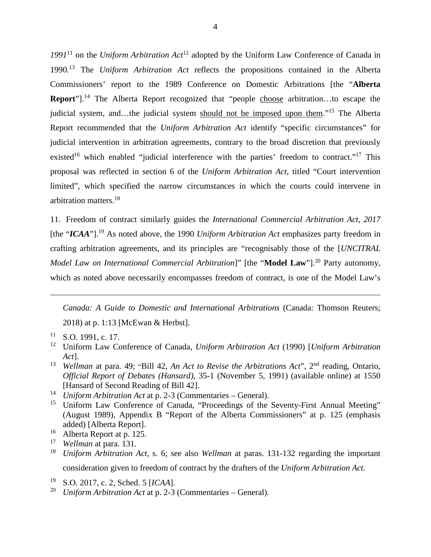*1991*[11](#page-16-0) on the *Uniform Arbitration Act*[12](#page-16-1) adopted by the Uniform Law Conference of Canada in 1990*.* [13](#page-16-2) The *Uniform Arbitration Act* reflects the propositions contained in the Alberta Commissioners' report to the 1989 Conference on Domestic Arbitrations [the "**Alberta Report**"].<sup>[14](#page-16-3)</sup> The Alberta Report recognized that "people choose arbitration...to escape the judicial system, and…the judicial system should not be imposed upon them."[15](#page-16-4) The Alberta Report recommended that the *Uniform Arbitration Act* identify "specific circumstances" for judicial intervention in arbitration agreements, contrary to the broad discretion that previously existed<sup>[16](#page-16-5)</sup> which enabled "judicial interference with the parties' freedom to contract."<sup>[17](#page-16-6)</sup> This proposal was reflected in section 6 of the *Uniform Arbitration Act*, titled "Court intervention limited", which specified the narrow circumstances in which the courts could intervene in arbitration matters.[18](#page-16-7)

11. Freedom of contract similarly guides the *International Commercial Arbitration Act, 2017* [the "*ICAA*"].[19](#page-16-8) As noted above, the 1990 *Uniform Arbitration Act* emphasizes party freedom in crafting arbitration agreements, and its principles are "recognisably those of the [*UNCITRAL Model Law on International Commercial Arbitration*]" [the "**Model Law**"].<sup>[20](#page-16-9)</sup> Party autonomy, which as noted above necessarily encompasses freedom of contract, is one of the Model Law's

*Canada: A Guide to Domestic and International Arbitrations* (Canada: Thomson Reuters; 2018) at p. 1:13 [McEwan & Herbst].

- <span id="page-16-0"></span> $11$  S.O. 1991, c. 17.
- <span id="page-16-1"></span><sup>12</sup> Uniform Law Conference of Canada, *Uniform Arbitration Act* (1990) [*Uniform Arbitration Act*].
- <span id="page-16-2"></span><sup>13</sup> *Wellman* at para. 49; "Bill 42, *An Act to Revise the Arbitrations Act*", 2nd reading, Ontario, *Official Report of Debates (Hansard)*, 35-1 (November 5, 1991) (available online) at 1550 [Hansard of Second Reading of Bill 42].
- <span id="page-16-3"></span><sup>14</sup> *Uniform Arbitration Act* at p. 2-3 (Commentaries – General).
- <span id="page-16-4"></span><sup>15</sup> Uniform Law Conference of Canada, "Proceedings of the Seventy-First Annual Meeting" (August 1989), Appendix B "Report of the Alberta Commissioners" at p. 125 (emphasis added) [Alberta Report].
- <span id="page-16-5"></span><sup>16</sup> Alberta Report at p. 125.
- <span id="page-16-7"></span><span id="page-16-6"></span><sup>17</sup> *Wellman* at para. 131.<br><sup>18</sup> *Uniform Arbitration*
- <sup>18</sup> *Uniform Arbitration Act,* s. 6; see also *Wellman* at paras. 131-132 regarding the important consideration given to freedom of contract by the drafters of the *Uniform Arbitration Act*.
- <span id="page-16-9"></span><span id="page-16-8"></span><sup>19</sup>S.O. 2017, c. 2, Sched. 5 [*ICAA*].
- <sup>20</sup> *Uniform Arbitration Act* at p. 2-3 (Commentaries General).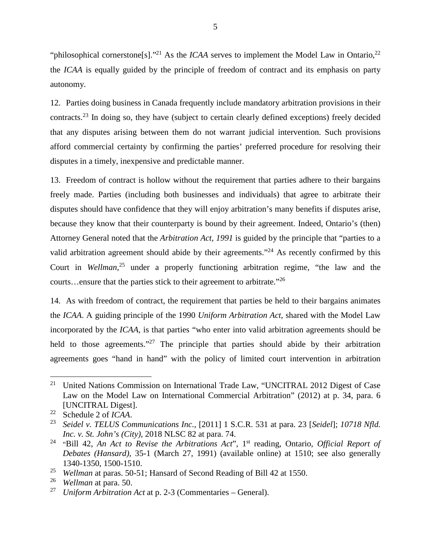"philosophical cornerstone<sup>[s]" [21](#page-17-0)</sup> As the *ICAA* serves to implement the Model Law in Ontario,<sup>[22](#page-17-1)</sup> the *ICAA* is equally guided by the principle of freedom of contract and its emphasis on party autonomy.

12. Parties doing business in Canada frequently include mandatory arbitration provisions in their contracts.<sup>[23](#page-17-2)</sup> In doing so, they have (subject to certain clearly defined exceptions) freely decided that any disputes arising between them do not warrant judicial intervention. Such provisions afford commercial certainty by confirming the parties' preferred procedure for resolving their disputes in a timely, inexpensive and predictable manner.

13. Freedom of contract is hollow without the requirement that parties adhere to their bargains freely made. Parties (including both businesses and individuals) that agree to arbitrate their disputes should have confidence that they will enjoy arbitration's many benefits if disputes arise, because they know that their counterparty is bound by their agreement. Indeed, Ontario's (then) Attorney General noted that the *Arbitration Act, 1991* is guided by the principle that "parties to a valid arbitration agreement should abide by their agreements."<sup>[24](#page-17-3)</sup> As recently confirmed by this Court in *Wellman*, [25](#page-17-4) under a properly functioning arbitration regime, "the law and the courts…ensure that the parties stick to their agreement to arbitrate."[26](#page-17-5)

14. As with freedom of contract, the requirement that parties be held to their bargains animates the *ICAA*. A guiding principle of the 1990 *Uniform Arbitration Act*, shared with the Model Law incorporated by the *ICAA*, is that parties "who enter into valid arbitration agreements should be held to those agreements."<sup>[27](#page-17-6)</sup> The principle that parties should abide by their arbitration agreements goes "hand in hand" with the policy of limited court intervention in arbitration

<span id="page-17-0"></span><sup>&</sup>lt;sup>21</sup> United Nations Commission on International Trade Law, "UNCITRAL 2012 Digest of Case Law on the Model Law on International Commercial Arbitration" (2012) at p. 34, para. 6 [UNCITRAL Digest].

<span id="page-17-1"></span><sup>22</sup> Schedule 2 of *ICAA*.

<span id="page-17-2"></span><sup>23</sup> *Seidel v. TELUS Communications Inc.,* [2011] 1 S.C.R. 531 at para. 23 [*Seidel*]; *10718 Nfld. Inc. v. St. John's (City)*, 2018 NLSC 82 at para. 74.

<span id="page-17-3"></span><sup>24</sup> "Bill 42, *An Act to Revise the Arbitrations Act*", 1st reading, Ontario, *Official Report of Debates (Hansard)*, 35-1 (March 27, 1991) (available online) at 1510; see also generally 1340-1350, 1500-1510.

<span id="page-17-5"></span><span id="page-17-4"></span><sup>&</sup>lt;sup>25</sup> *Wellman* at paras. 50-51; Hansard of Second Reading of Bill 42 at 1550.<br><sup>26</sup> *Wellman* at para. 50

<span id="page-17-6"></span><sup>26</sup> *Wellman* at para. 50.

<sup>27</sup> *Uniform Arbitration Act* at p. 2-3 (Commentaries – General).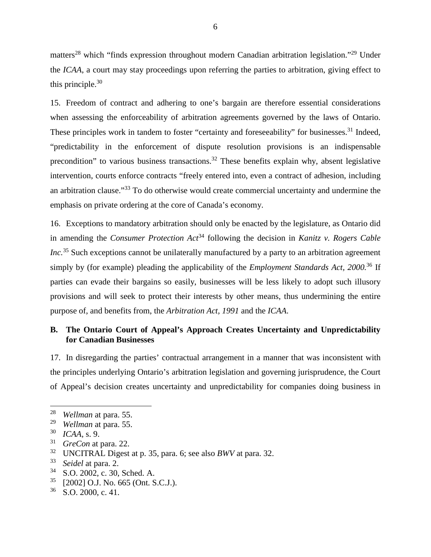matters<sup>[28](#page-18-1)</sup> which "finds expression throughout modern Canadian arbitration legislation."<sup>[29](#page-18-2)</sup> Under the *ICAA*, a court may stay proceedings upon referring the parties to arbitration, giving effect to this principle. $30$ 

15. Freedom of contract and adhering to one's bargain are therefore essential considerations when assessing the enforceability of arbitration agreements governed by the laws of Ontario. These principles work in tandem to foster "certainty and foreseeability" for businesses.<sup>[31](#page-18-4)</sup> Indeed, "predictability in the enforcement of dispute resolution provisions is an indispensable precondition" to various business transactions.<sup>[32](#page-18-5)</sup> These benefits explain why, absent legislative intervention, courts enforce contracts "freely entered into, even a contract of adhesion, including an arbitration clause."[33](#page-18-6) To do otherwise would create commercial uncertainty and undermine the emphasis on private ordering at the core of Canada's economy.

16. Exceptions to mandatory arbitration should only be enacted by the legislature, as Ontario did in amending the *Consumer Protection Act*[34](#page-18-7) following the decision in *Kanitz v. Rogers Cable Inc.*<sup>[35](#page-18-8)</sup> Such exceptions cannot be unilaterally manufactured by a party to an arbitration agreement simply by (for example) pleading the applicability of the *Employment Standards Act, 2000.*[36](#page-18-9) If parties can evade their bargains so easily, businesses will be less likely to adopt such illusory provisions and will seek to protect their interests by other means, thus undermining the entire purpose of, and benefits from, the *Arbitration Act, 1991* and the *ICAA*.

## <span id="page-18-0"></span>**B. The Ontario Court of Appeal's Approach Creates Uncertainty and Unpredictability for Canadian Businesses**

17. In disregarding the parties' contractual arrangement in a manner that was inconsistent with the principles underlying Ontario's arbitration legislation and governing jurisprudence, the Court of Appeal's decision creates uncertainty and unpredictability for companies doing business in

- <span id="page-18-7"></span>Seidel at para. 2.
- <span id="page-18-8"></span> $^{34}$  S.O. 2002, c. 30, Sched. A.<br> $^{35}$  [2002] O.J. No. 665 (Ont. S
- <span id="page-18-9"></span> $^{35}$  [2002] O.J. No. 665 (Ont. S.C.J.).<br> $^{36}$  S.O. 2000, c. 41
- S.O. 2000, c. 41.

<span id="page-18-1"></span><sup>28</sup> *Wellman* at para. 55.

<span id="page-18-2"></span><sup>&</sup>lt;sup>29</sup> *Wellman* at para. 55.<br><sup>30</sup> *ICAA* s 9

<span id="page-18-4"></span><span id="page-18-3"></span><sup>30</sup> *ICAA,* s. 9.

<span id="page-18-5"></span> $31 \t GreCon$  at para. 22.<br> $32 \t INCITR A I$  Digest

<span id="page-18-6"></span><sup>32</sup> UNCITRAL Digest at p. 35, para. 6; see also *BWV* at para. 32.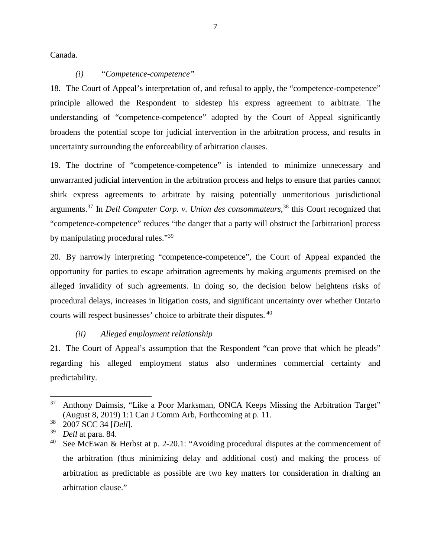Canada.

#### <span id="page-19-0"></span>*(i) "Competence-competence"*

18. The Court of Appeal's interpretation of, and refusal to apply, the "competence-competence" principle allowed the Respondent to sidestep his express agreement to arbitrate. The understanding of "competence-competence" adopted by the Court of Appeal significantly broadens the potential scope for judicial intervention in the arbitration process, and results in uncertainty surrounding the enforceability of arbitration clauses.

19. The doctrine of "competence-competence" is intended to minimize unnecessary and unwarranted judicial intervention in the arbitration process and helps to ensure that parties cannot shirk express agreements to arbitrate by raising potentially unmeritorious jurisdictional arguments.[37](#page-19-2) In *Dell Computer Corp. v. Union des consommateurs*, [38](#page-19-3) this Court recognized that "competence-competence" reduces "the danger that a party will obstruct the [arbitration] process by manipulating procedural rules."<sup>[39](#page-19-4)</sup>

20. By narrowly interpreting "competence-competence", the Court of Appeal expanded the opportunity for parties to escape arbitration agreements by making arguments premised on the alleged invalidity of such agreements. In doing so, the decision below heightens risks of procedural delays, increases in litigation costs, and significant uncertainty over whether Ontario courts will respect businesses' choice to arbitrate their disputes.<sup>40</sup>

## <span id="page-19-1"></span>*(ii) Alleged employment relationship*

21. The Court of Appeal's assumption that the Respondent "can prove that which he pleads" regarding his alleged employment status also undermines commercial certainty and predictability.

<span id="page-19-2"></span><sup>&</sup>lt;sup>37</sup> Anthony Daimsis, "Like a Poor Marksman, ONCA Keeps Missing the Arbitration Target" (August 8, 2019) 1:1 Can J Comm Arb, Forthcoming at p. 11.

<span id="page-19-3"></span><sup>38</sup> 2007 SCC 34 [*Dell*].

<span id="page-19-5"></span><span id="page-19-4"></span><sup>39</sup> *Dell* at para. 84.

See McEwan & Herbst at p. 2-20.1: "Avoiding procedural disputes at the commencement of the arbitration (thus minimizing delay and additional cost) and making the process of arbitration as predictable as possible are two key matters for consideration in drafting an arbitration clause."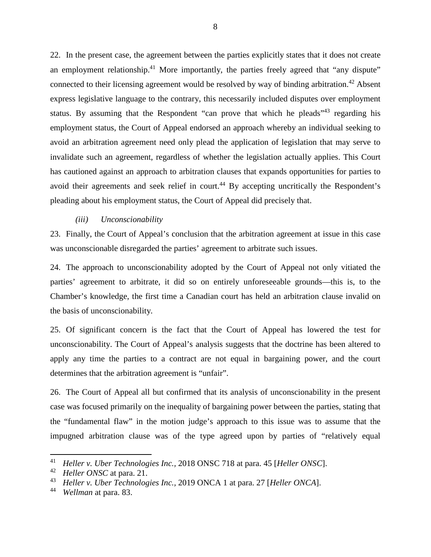22. In the present case, the agreement between the parties explicitly states that it does not create an employment relationship.<sup>[41](#page-20-1)</sup> More importantly, the parties freely agreed that "any dispute" connected to their licensing agreement would be resolved by way of binding arbitration.<sup>[42](#page-20-2)</sup> Absent express legislative language to the contrary, this necessarily included disputes over employment status. By assuming that the Respondent "can prove that which he pleads"<sup>[43](#page-20-3)</sup> regarding his employment status, the Court of Appeal endorsed an approach whereby an individual seeking to avoid an arbitration agreement need only plead the application of legislation that may serve to invalidate such an agreement, regardless of whether the legislation actually applies. This Court has cautioned against an approach to arbitration clauses that expands opportunities for parties to avoid their agreements and seek relief in court.<sup>[44](#page-20-4)</sup> By accepting uncritically the Respondent's pleading about his employment status, the Court of Appeal did precisely that.

#### <span id="page-20-0"></span>*(iii) Unconscionability*

23. Finally, the Court of Appeal's conclusion that the arbitration agreement at issue in this case was unconscionable disregarded the parties' agreement to arbitrate such issues.

24. The approach to unconscionability adopted by the Court of Appeal not only vitiated the parties' agreement to arbitrate, it did so on entirely unforeseeable grounds—this is, to the Chamber's knowledge, the first time a Canadian court has held an arbitration clause invalid on the basis of unconscionability.

25. Of significant concern is the fact that the Court of Appeal has lowered the test for unconscionability. The Court of Appeal's analysis suggests that the doctrine has been altered to apply any time the parties to a contract are not equal in bargaining power, and the court determines that the arbitration agreement is "unfair".

26. The Court of Appeal all but confirmed that its analysis of unconscionability in the present case was focused primarily on the inequality of bargaining power between the parties, stating that the "fundamental flaw" in the motion judge's approach to this issue was to assume that the impugned arbitration clause was of the type agreed upon by parties of "relatively equal

<span id="page-20-2"></span><span id="page-20-1"></span><sup>41</sup> *Heller v. Uber Technologies Inc.,* 2018 ONSC 718 at para. 45 [*Heller ONSC*].

<sup>42</sup> *Heller ONSC* at para. 21.

<span id="page-20-4"></span><span id="page-20-3"></span><sup>43</sup> *Heller v. Uber Technologies Inc.,* 2019 ONCA 1 at para. 27 [*Heller ONCA*].

<sup>44</sup> *Wellman* at para. 83.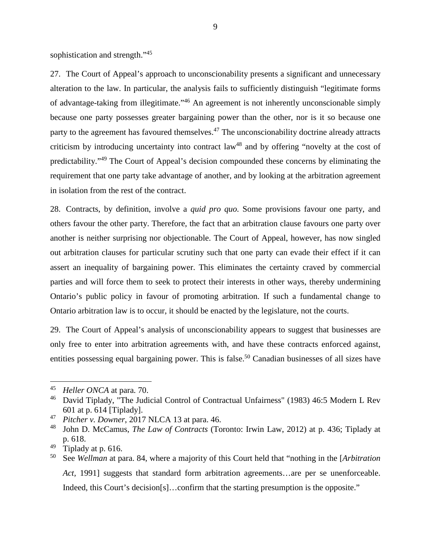sophistication and strength."<sup>[45](#page-21-0)</sup>

27. The Court of Appeal's approach to unconscionability presents a significant and unnecessary alteration to the law. In particular, the analysis fails to sufficiently distinguish "legitimate forms of advantage-taking from illegitimate."[46](#page-21-1) An agreement is not inherently unconscionable simply because one party possesses greater bargaining power than the other, nor is it so because one party to the agreement has favoured themselves.<sup>[47](#page-21-2)</sup> The unconscionability doctrine already attracts criticism by introducing uncertainty into contract law<sup>[48](#page-21-3)</sup> and by offering "novelty at the cost of predictability."[49](#page-21-4) The Court of Appeal's decision compounded these concerns by eliminating the requirement that one party take advantage of another, and by looking at the arbitration agreement in isolation from the rest of the contract.

28. Contracts, by definition, involve a *quid pro quo*. Some provisions favour one party, and others favour the other party. Therefore, the fact that an arbitration clause favours one party over another is neither surprising nor objectionable. The Court of Appeal, however, has now singled out arbitration clauses for particular scrutiny such that one party can evade their effect if it can assert an inequality of bargaining power. This eliminates the certainty craved by commercial parties and will force them to seek to protect their interests in other ways, thereby undermining Ontario's public policy in favour of promoting arbitration. If such a fundamental change to Ontario arbitration law is to occur, it should be enacted by the legislature, not the courts.

29. The Court of Appeal's analysis of unconscionability appears to suggest that businesses are only free to enter into arbitration agreements with, and have these contracts enforced against, entities possessing equal bargaining power. This is false.<sup>[50](#page-21-5)</sup> Canadian businesses of all sizes have

<span id="page-21-0"></span><sup>45</sup> *Heller ONCA* at para. 70.

<span id="page-21-1"></span><sup>&</sup>lt;sup>46</sup> David Tiplady, "The Judicial Control of Contractual Unfairness" (1983) 46:5 Modern L Rev 601 at p. 614 [Tiplady].

<span id="page-21-3"></span><span id="page-21-2"></span><sup>47</sup> *Pitcher v. Downer*, 2017 NLCA 13 at para. 46.

<sup>48</sup> John D. McCamus, *The Law of Contracts* (Toronto: Irwin Law, 2012) at p. 436; Tiplady at p. 618.

<span id="page-21-5"></span><span id="page-21-4"></span> $49$  Tiplady at p. 616.

<sup>50</sup> See *Wellman* at para. 84, where a majority of this Court held that "nothing in the [*Arbitration Act,* 1991] suggests that standard form arbitration agreements…are per se unenforceable. Indeed, this Court's decision[s]...confirm that the starting presumption is the opposite."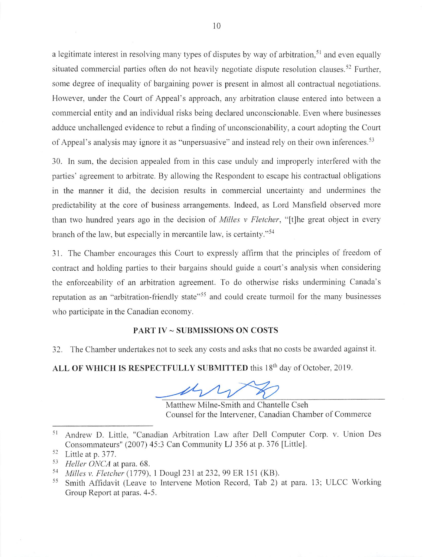a legitimate interest in resolving many types of disputes by way of arbitration.<sup>51</sup> and even equally situated commercial parties often do not heavily negotiate dispute resolution clauses.<sup>52</sup> Further, some degree of inequality of bargaining power is present in almost all contractual negotiations. However, under the Court of Appeal's approach, any arbitration clause entered into between a commercial entity and an individual risks being declared unconscionable. Even where businesses adduce unchallenged evidence to rebut a finding of unconscionability, a court adopting the Court of Appeal's analysis may ignore it as "unpersuasive" and instead rely on their own inferences.<sup>53</sup>

30. In sum, the decision appealed from in this case unduly and improperly interfered with the parties' agreement to arbitrate. By allowing the Respondent to escape his contractual obligations in the manner it did, the decision results in commercial uncertainty and undermines the predictability at the core of business arrangements. Indeed, as Lord Mansfield observed more than two hundred years ago in the decision of *Milles v Fletcher*, "[t]he great object in every branch of the law, but especially in mercantile law, is certainty."<sup>54</sup>

31. The Chamber encourages this Court to expressly affirm that the principles of freedom of contract and holding parties to their bargains should guide a court's analysis when considering the enforceability of an arbitration agreement. To do otherwise risks undermining Canada's reputation as an "arbitration-friendly state"<sup>55</sup> and could create turmoil for the many businesses who participate in the Canadian economy.

#### **PART IV ~ SUBMISSIONS ON COSTS**

32. The Chamber undertakes not to seek any costs and asks that no costs be awarded against it.

ALL OF WHICH IS RESPECTFULLY SUBMITTED this 18<sup>th</sup> day of October, 2019.

Matthew Milne-Smith and Chantelle Cseh Counsel for the Intervener, Canadian Chamber of Commerce

Andrew D. Little, "Canadian Arbitration Law after Dell Computer Corp. v. Union Des 51 Consommateurs" (2007) 45:3 Can Community LJ 356 at p. 376 [Little].

<sup>52</sup> Little at p. 377.

<sup>53</sup> Heller ONCA at para. 68.

<sup>54</sup> Milles v. Fletcher (1779), 1 Dougl 231 at 232, 99 ER 151 (KB).

<sup>55</sup> Smith Affidavit (Leave to Intervene Motion Record, Tab 2) at para, 13; ULCC Working Group Report at paras. 4-5.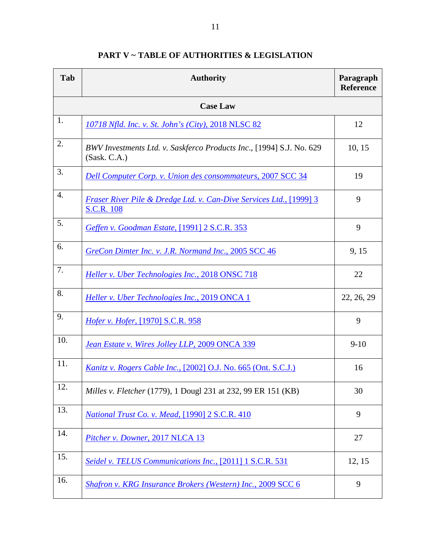| Tab             | <b>Authority</b>                                                                         | Paragraph<br><b>Reference</b> |  |  |
|-----------------|------------------------------------------------------------------------------------------|-------------------------------|--|--|
| <b>Case Law</b> |                                                                                          |                               |  |  |
| 1.              | 10718 Nfld. Inc. v. St. John's (City), 2018 NLSC 82                                      | 12                            |  |  |
| 2.              | BWV Investments Ltd. v. Saskferco Products Inc., [1994] S.J. No. 629<br>(Sask. C.A.)     | 10, 15                        |  |  |
| 3.              | <b>Dell Computer Corp. v. Union des consommateurs, 2007 SCC 34</b>                       | 19                            |  |  |
| 4.              | Fraser River Pile & Dredge Ltd. v. Can-Dive Services Ltd., [1999] 3<br><b>S.C.R. 108</b> | 9                             |  |  |
| 5.              | Geffen v. Goodman Estate, [1991] 2 S.C.R. 353                                            | 9                             |  |  |
| 6.              | GreCon Dimter Inc. v. J.R. Normand Inc., 2005 SCC 46                                     | 9, 15                         |  |  |
| 7.              | Heller v. Uber Technologies Inc., 2018 ONSC 718                                          | 22                            |  |  |
| 8.              | Heller v. Uber Technologies Inc., 2019 ONCA 1                                            | 22, 26, 29                    |  |  |
| 9.              | Hofer v. Hofer, [1970] S.C.R. 958                                                        | 9                             |  |  |
| 10.             | Jean Estate v. Wires Jolley LLP, 2009 ONCA 339                                           | $9 - 10$                      |  |  |
| 11.             | <i>Kanitz v. Rogers Cable Inc.,</i> [2002] O.J. No. 665 (Ont. S.C.J.)                    | 16                            |  |  |
| 12.             | Milles v. Fletcher (1779), 1 Dougl 231 at 232, 99 ER 151 (KB)                            | 30                            |  |  |
| 13.             | National Trust Co. v. Mead, [1990] 2 S.C.R. 410                                          | 9                             |  |  |
| 14.             | Pitcher v. Downer, 2017 NLCA 13                                                          | 27                            |  |  |
| 15.             | Seidel v. TELUS Communications Inc., [2011] 1 S.C.R. 531                                 | 12, 15                        |  |  |
| 16.             | Shafron v. KRG Insurance Brokers (Western) Inc., 2009 SCC 6                              | 9                             |  |  |

## <span id="page-23-0"></span>**PART V ~ TABLE OF AUTHORITIES & LEGISLATION**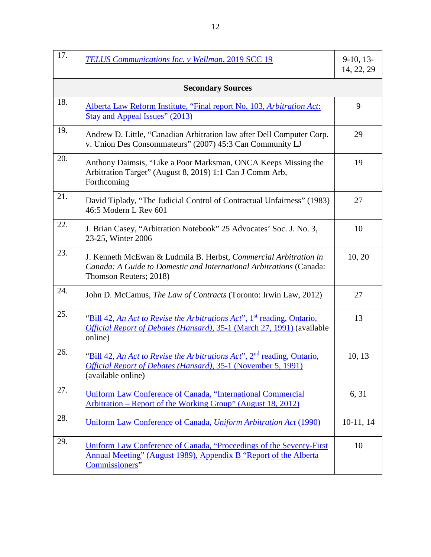| 17.                      | TELUS Communications Inc. v Wellman, 2019 SCC 19                                                                                                                           | $9-10, 13-$<br>14, 22, 29 |  |  |
|--------------------------|----------------------------------------------------------------------------------------------------------------------------------------------------------------------------|---------------------------|--|--|
| <b>Secondary Sources</b> |                                                                                                                                                                            |                           |  |  |
| 18.                      | Alberta Law Reform Institute, "Final report No. 103, Arbitration Act:<br><b>Stay and Appeal Issues" (2013)</b>                                                             | 9                         |  |  |
| 19.                      | Andrew D. Little, "Canadian Arbitration law after Dell Computer Corp.<br>v. Union Des Consommateurs" (2007) 45:3 Can Community LJ                                          | 29                        |  |  |
| 20.                      | Anthony Daimsis, "Like a Poor Marksman, ONCA Keeps Missing the<br>Arbitration Target" (August 8, 2019) 1:1 Can J Comm Arb,<br>Forthcoming                                  | 19                        |  |  |
| 21.                      | David Tiplady, "The Judicial Control of Contractual Unfairness" (1983)<br>46:5 Modern L Rev 601                                                                            | 27                        |  |  |
| 22.                      | J. Brian Casey, "Arbitration Notebook" 25 Advocates' Soc. J. No. 3,<br>23-25, Winter 2006                                                                                  | 10                        |  |  |
| 23.                      | J. Kenneth McEwan & Ludmila B. Herbst, Commercial Arbitration in<br>Canada: A Guide to Domestic and International Arbitrations (Canada:<br>Thomson Reuters; 2018)          | 10, 20                    |  |  |
| 24.                      | John D. McCamus, The Law of Contracts (Toronto: Irwin Law, 2012)                                                                                                           | 27                        |  |  |
| 25.                      | "Bill 42, An Act to Revise the Arbitrations Act", 1 <sup>st</sup> reading, Ontario,<br>Official Report of Debates (Hansard), 35-1 (March 27, 1991) (available<br>online)   | 13                        |  |  |
| 26.                      | "Bill 42, An Act to Revise the Arbitrations Act", 2 <sup>nd</sup> reading, Ontario,<br>Official Report of Debates (Hansard), 35-1 (November 5, 1991)<br>(available online) | 10, 13                    |  |  |
| 27.                      | Uniform Law Conference of Canada, "International Commercial<br>Arbitration – Report of the Working Group" (August 18, 2012)                                                | 6, 31                     |  |  |
| 28.                      | Uniform Law Conference of Canada, Uniform Arbitration Act (1990)                                                                                                           | $10-11, 14$               |  |  |
| 29.                      | Uniform Law Conference of Canada, "Proceedings of the Seventy-First<br>Annual Meeting" (August 1989), Appendix B "Report of the Alberta<br>Commissioners"                  | 10                        |  |  |